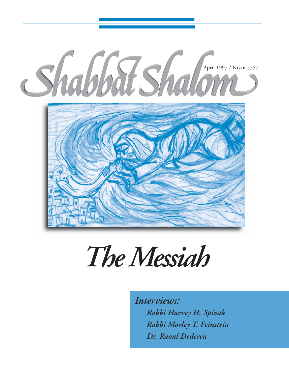

# *The Messiah*

*Interviews: Rabbi Harvey H. Spivak Rabbi Morley T. Feinstein Dr. Raoul Dederen*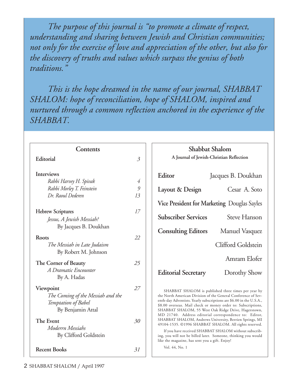*The purpose of this journal is "to promote a climate of respect, understanding and sharing between Jewish and Christian communities; not only for the exercise of love and appreciation of the other, but also for the discovery of truths and values which surpass the genius of both traditions."*

*This is the hope dreamed in the name of our journal, SHABBAT SHALOM: hope of reconciliation, hope of SHALOM, inspired and nurtured through a common reflection anchored in the experience of the SHABBAT.*

| Contents                                                                                                                                             |                                        | <b>Shabbat Shalom</b>                                                                                                                                                                                                                                                                                                                                                                                                                                                                                                                                                                                                          |
|------------------------------------------------------------------------------------------------------------------------------------------------------|----------------------------------------|--------------------------------------------------------------------------------------------------------------------------------------------------------------------------------------------------------------------------------------------------------------------------------------------------------------------------------------------------------------------------------------------------------------------------------------------------------------------------------------------------------------------------------------------------------------------------------------------------------------------------------|
| Editorial                                                                                                                                            | $\mathfrak{Z}$                         | A Journal of Jewish-Christian Reflection                                                                                                                                                                                                                                                                                                                                                                                                                                                                                                                                                                                       |
| <b>Interviews</b><br>Rabbi Harvey H. Spivak<br>Rabbi Morley T. Feinstein<br>Dr. Raoul Dederen                                                        | $\overline{4}$<br>$\mathfrak{g}$<br>13 | Editor<br>Jacques B. Doukhan<br>Layout & Design<br>Cesar A. Soto<br>Vice President for Marketing Douglas Sayles                                                                                                                                                                                                                                                                                                                                                                                                                                                                                                                |
| <b>Hebrew Scriptures</b><br>Jessus, A Jewish Messiah?<br>By Jacques B. Doukhan                                                                       | 17                                     | <b>Subscriber Services</b><br>Steve Hanson<br><b>Consulting Editors</b><br>Manuel Vasquez                                                                                                                                                                                                                                                                                                                                                                                                                                                                                                                                      |
| Roots<br>The Messiah in Late Judaism<br>By Robert M. Johnson                                                                                         | 22                                     | Clifford Goldstein                                                                                                                                                                                                                                                                                                                                                                                                                                                                                                                                                                                                             |
| The Corner of Beauty<br>A Dramatic Encounter<br>By A. Hadas                                                                                          | 25                                     | Amram Elofer<br><b>Editorial Secretary</b><br>Dorothy Show                                                                                                                                                                                                                                                                                                                                                                                                                                                                                                                                                                     |
| Viewpoint<br>The Coming of the Messiah and the<br>Temptation of Babel<br>By Benjamin Attal<br>The Event<br>Moderrn Messiahs<br>By Clifford Goldstein | 27<br>30                               | SHABBAT SHALOM is published three times per year by<br>the North American Division of the General Conference of Sev-<br>enth-day Adventists. Yearly subscriptions are \$6.00 in the U.S.A.,<br>\$8.00 overseas. Mail check or money order to: Subscriptions,<br>SHABBAT SHALOM, 55 West Oak Ridge Drive, Hagerstown,<br>MD 21740. Address editorial correspondence to: Editor,<br>SHABBAT SHALOM, Andrews University, Berrien Springs, MI<br>49104-1535. ©1996 SHABBAT SHALOM. All rights reserved.<br>If you have received SHABBAT SHALOM without subscrib-<br>ing, you will not be billed later. Someone, thinking you would |
| <b>Recent Books</b>                                                                                                                                  | 31                                     | like the magazine, has sent you a gift. Enjoy!<br>Vol. 44, No. 1                                                                                                                                                                                                                                                                                                                                                                                                                                                                                                                                                               |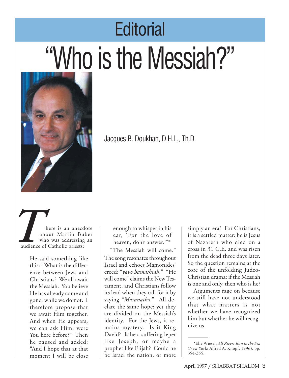# **Editorial** "Who is the Messiah?"



Jacques B. Doukhan, D.H.L., Th.D.

here is an anecdote about Martin Buber who was addressing an audience of Catholic priests: *x*  $\frac{1}{x}$   $\frac{1}{x}$   $\frac{1}{x}$   $\frac{1}{x}$   $\frac{1}{x}$   $\frac{1}{x}$   $\frac{1}{x}$   $\frac{1}{x}$   $\frac{1}{x}$   $\frac{1}{x}$   $\frac{1}{x}$   $\frac{1}{x}$   $\frac{1}{x}$   $\frac{1}{x}$   $\frac{1}{x}$   $\frac{1}{x}$   $\frac{1}{x}$   $\frac{1}{x}$   $\frac{1}{x}$   $\frac{1}{x}$   $\frac{1}{x}$   $\frac{1}{$ 

> He said something like this: "What is the difference between Jews and Christians? We all await the Messiah. You believe He has already come and gone, while we do not. I therefore propose that we await Him together. And when He appears, we can ask Him: were You here before?" Then he paused and added: "And I hope that at that moment I will be close

enough to whisper in his ear, 'For the love of heaven, don't answer.'"\*

"The Messiah will come." The song resonates throughout Israel and echoes Mamonides' creed: "*yavo hamashiah*." "He will come" claims the New Testament, and Christians follow its lead when they call for it by saying "*Maranatha*." All declare the same hope; yet they are divided on the Messiah's identity. For the Jews, it remains mystery. Is it King David? Is he a suffering leper like Joseph, or maybe a prophet like Elijah? Could he be Israel the nation, or more simply an era? For Christians, it is a settled matter: he is Jesus of Nazareth who died on a cross in 31 C.E. and was risen from the dead three days later. So the question remains at the core of the unfolding Judeo-Christian drama: if the Messiah is one and only, then who is he?

Arguments rage on because we still have not understood that what matters is not whether we have recognized him but whether he will recognize us.

<sup>\*</sup>Elie Wiesel, *All Rivers Run to the Sea* (New York: Alfred A. Knopf, 1996), pp. 354-355.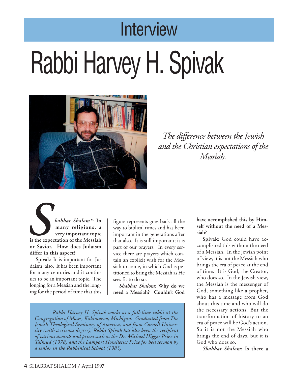## **Interview**

# Rabbi Harvey H. Spivak



*The difference between the Jewish and the Christian expectations of the Messiah.*

*habbat Shalom\****: In many religions, a very important topic is the expectation of the Messiah or Savior. How does Judaism differ in this aspect? S**<br>*is the experience* 

> **Spivak**: It is important for Judaism, also. It has been important for many centuries and it continues to be an important topic. The longing for a Messiah and the longing for the period of time that this

figure represents goes back all the way to biblical times and has been important in the generations after that also. It is still important; it is part of our prayers. In every service there are prayers which contain an explicit wish for the Messiah to come, in which God is petitioned to bring the Messiah as He sees fit to do so.

*Shabbat Shalom***: Why do we need a Messiah? Couldn't God**

*Rabbi Harvey H. Spivak works as a full-time rabbi at the Congregation of Moses, Kalamazoo, Michigan. Graduated from The Jewish Theological Seminary of America, and from Cornell University (with a science degree), Rabbi Spivak has also been the recipient of various awards and prizes such as the Dr. Michael Higger Prize in Talmud (1978) and the Lamport Homiletics Prize for best sermon by a senior in the Rabbinical School (1983).*

**have accomplished this by Himself without the need of a Messiah?**

**Spivak**: God could have accomplished this without the need of a Messiah. In the Jewish point of view, it is not the Messiah who brings the era of peace at the end of time. It is God, the Creator, who does so. In the Jewish view, the Messiah is the messenger of God, something like a prophet, who has a message from God about this time and who will do the necessary actions. But the transformation of history to an era of peace will be God's action. So it is not the Messiah who brings the end of days, but it is God who does so.

*Shabbat Shalom***: Is there a**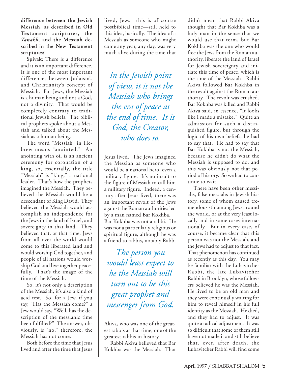**difference between the Jewish Messiah, as described in Old Testament scriptures, the** *Tanakh***, and the Messiah described in the New Testament scriptures?**

**Spivak**: There is a difference and it is an important difference. It is one of the most important differences between Judaism's and Christianity's concept of Messiah. For Jews, the Messiah is a human being and not a God, not a divinity. That would be completely contrary to traditional Jewish beliefs. The biblical prophets spoke about a Messiah and talked about the Messiah as a human being.

The word "Messiah" in Hebrew means "anointed." An anointing with oil is an ancient ceremony for coronation of a king, so, essentially, the title "Messiah" is "king," a national leader. That's how the prophets imagined the Messiah. They believed the Messiah would be a descendant of King David. They believed the Messiah would accomplish an independence for the Jews in the land of Israel, and sovereignty in that land. They believed that, at that time, Jews from all over the world would come to this liberated land and would worship God together, and people of all nations would worship God and live together peacefully. That's the image of the time of the Messiah.

So, it's not only a description of the Messiah, it's also a kind of acid test. So, for a Jew, if you say, "Has the Messiah come?" a Jew would say, "Well, has the description of the messianic time been fulfilled?" The answer, obviously, is "no," therefore, the Messiah has not come.

Both before the time that Jesus lived and after the time that Jesus

lived, Jews—this is of course postbiblical time—still held to this idea, basically. The idea of a Messiah as someone who might come any year, any day, was very much alive during the time that

*In the Jewish point of view, it is not the Messiah who brings the era of peace at the end of time. It is God, the Creator, who does so.*

Jesus lived. The Jews imagined the Messiah as someone who would be a national hero, even a military figure. It's no insult to the figure of Messiah to call him a military figure. Indeed, a century after Jesus lived, there was an important revolt of the Jews against the Roman authorities led by a man named Bar Kokhba. Bar Kokhba was not a rabbi. He was not a particularly religious or spiritual figure, although he was a friend to rabbis, notably Rabbi

*The person you would least expect to be the Messiah will turn out to be this great prophet and messenger from God.*

Rabbi Akiva believed that Bar Kokhba was the Messiah. That didn't mean that Rabbi Akiva thought that Bar Kokhba was a holy man in the sense that we would use that term, but Bar Kokhba was the one who would free the Jews from the Roman authority, liberate the land of Israel for Jewish sovereignty and initiate this time of peace, which is the time of the Messiah. Rabbi Akiva followed Bar Kokhba in the revolt against the Roman authority. The revolt was crushed. Bar Kokhba was killed and Rabbi Akiva said, in essence, "It looks like I made a mistake." Quite an admission for such a distinguished figure, but through the logic of his own beliefs, he had to say that. He had to say that Bar Kokhba is not the Messiah, because he didn't do what the Messiah is supposed to do, and this was obviously not that period of history. So we had to continue to wait.

There have been other messiahs, false messiahs in Jewish history, some of whom caused tremendous stir among Jews around the world, or at the very least locally and in some cases internationally. But in every case, of course, it became clear that this person was not the Messiah, and the Jews had to adjust to that fact. That phenomenon has continued as recently as this day. You may be familiar with the Lubavitcher Rabbi, the late Lubavitcher Rabbi in Brooklyn, whose followers believed he was the Messiah. He lived to be an old man and they were continually waiting for him to reveal himself in his full identity as the Messiah. He died, and they had to adjust. It was quite a radical adjustment. It was so difficult that some of them still have not made it and still believe that, even after death, the Lubavitcher Rabbi will find some

Akiva, who was one of the greatest rabbis at that time, one of the greatest rabbis in history.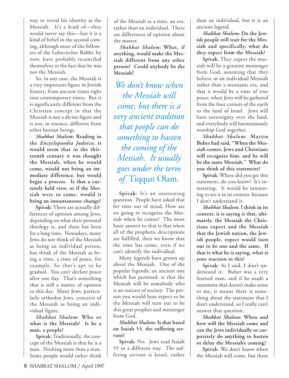way to reveal his identity as the Messiah. It's a kind of—they would never say this—but it is a kind of belief in the second coming, although most of the followers of the Lubavitcher Rabbi, by now, have probably reconciled themselves to the fact that he was not the Messiah.

So, in any case, the Messiah is a very important figure in Jewish history, from ancient times right into contemporary times. But it is significantly different from the Christian concept in that the Messiah is not a divine figure and is not, in essence, different from other human beings.

*Shabbat Shalom***: Reading in the** *Encyclopaedia Judaica***, it would seem that in the thirteenth century it was thought the Messiah, when he would come, would not bring an immediate difference, but would begin a process. Is that a currently held view, or if the Messiah were to come, would it bring an instantaneous change?**

**Spivak**: There are actually differences of opinion among Jews, depending on what their personal theology is, and there has been for a long time. Nowadays, many Jews do not think of the Messiah as being an individual person, but think of the Messiah as being a time, a time of peace, for example. So that's apt to be gradual. You can't declare peace after one day. That's something that is still a matter of opinion to this day. Many Jews, particularly orthodox Jews, conceive of the Messiah as being an individual figure.

*Shabbat Shalom***: Who or what is the Messiah? Is he a man, a people?**

**Spivak**: Traditionally, the concept of the Messiah is that he is a man. Nothing more than a man. Some people would rather think of the Messiah as a time, an era, rather than an individual. There are differences of opinion about the matter.

*Shabbat Shalom***: What, if anything, would make the Messiah different from any other person? Could anybody be the Messiah?**

*We don't know when the Messiah will come, but there is a very ancient tradition that people can do something to hasten the coming of the Messiah. It usually goes under the term of* Tiqqun Olam.

**Spivak**: It's an interesting question. People have asked that for time out of mind. How are we going to recognize the Messiah when he comes? The most basic answer to that is that when all of the prophetic descriptions are fulfilled, then we know that the time has come, even if we can't identify the individual.

Many legends have grown up about the Messiah. One of the popular legends, an ancient one which has persisted, is that the Messiah will be somebody who is an outcast of society. The person you would least expect to be the Messiah will turn out to be this great prophet and messenger from God.

*Shabbat Shalom***: Is that based on Isaiah 53, the suffering servant?**

**Spivak**: No. Jews read Isaiah 53 in a different way. The suffering servant is Israel, rather

than an individual, but it is an ancient legend.

*Shabbat Shalom***: Do the Jewish people still wait for the Messiah and specifically, what do they expect from the Messiah?**

**Spivak**: They expect the messiah will be a genuine messenger from God, assuming that they believe in an individual Messiah rather than a messianic era, and that it would be a time of true peace, when Jews will be gathered from the four corners of the earth to the land of Israel. Jews will have sovereignty over the land, and everybody will harmoniously worship God together.

*Shabbat Shalom***: Martin Buber had said, "When the Messiah comes, Jews and Christians will recognize him, and he will be the same Messiah." What do you think of this statement?**

**Spivak**: Where did you get this statement, do you know? It's interesting. It would be interesting to see it in its context, because I don't understand it.

*Shabbat Shalom***: I think in its context, it is saying is that, ultimately, the Messiah the Christians expect and the Messiah that the Jewish nation, the Jewish people, expect would turn out to be one and the same. If that is what he is saying, what is your reaction to this?**

**Spivak**: As I said, I don't understand it. Buber was a very learned man, and if he made a statement that doesn't make sense to me, it means there is something about the statement that I don't understand, so I really can't answer that question.

*Shabbat Shalom***: When and how will the Messiah come and can the Jews individually or corporately do anything to hasten or delay the Messiah's coming?**

**Spivak**: We don't know when the Messiah will come, but there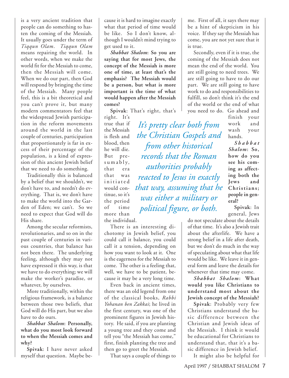is a very ancient tradition that people can do something to hasten the coming of the Messiah. It usually goes under the term of *Tiqqun Olam*. *Tiqqun Olam* means repairing the world. In other words, when we make the world fit for the Messiah to come, then the Messiah will come. When we do our part, then God will respond by bringing the time of the Messiah. Many people feel, this is a bit theoretical and you can't prove it, but many modern commentators feel that the widespread Jewish participation in the reform movements around the world in the last couple of centuries, participation that proportionately is far in excess of their percentage of the population, is a kind of expression of this ancient Jewish belief that we need to do something.

Traditionally this is balanced by a belief that we shouldn't, we don't have to, and needn't do everything. That is, we don't have to make the world into the Garden of Eden; we can't. So we need to expect that God will do His share.

Among the secular reformists, revolutionaries, and so on in the past couple of centuries in various countries, that balance has not been there. The underlying feeling, although they may not have expressed it this way, is that we have to do everything; we will make the worker's paradise, or whatever, by ourselves.

More traditionally, within the religious framework, is a balance between those two beliefs, that God will do His part, but we also have to do ours.

*Shabbat Shalom***: Personally, what do you most look forward to when the Messiah comes and why?**

**Spivak**: I have never asked myself that question. Maybe because it is hard to imagine exactly what that period of time would be like. So I don't know, although I wouldn't mind trying to get used to it.

*Shabbat Shalom***: So you are saying that for most Jews, the concept of the Messiah is more one of time, at least that's the emphasis? The Messiah would be a person, but what is more important is the time of what would happen after the Messiah comes?**

**Spivak**: That's right, that's

*It's pretty clear both from*

*the Christian Gospels and*

*from other historical records that the Roman*

*authorities probably*

*reacted to Jesus in exactly*

*that way, assuming that he*

*was either a military or*

*political figure, or both.*

right. It's true that if the Messiah is flesh and blood, then he will die. But presumably, that era that was initiated would continue, so it's the period of time more than the individual.

There is an interesting dichotomy in Jewish belief, you could call it balance, you could call it a tension, depending on how you want to look at it. One is the eagerness for the Messiah to come. The other is a feeling that, well, we have to be patient, because it may be a very long time.

Even back in ancient times, there was an old legend from one of the classical books, *Rabbi Yohanan ben Zakkai*; he lived in the first century, was one of the prominent figures in Jewish history. He said, if you are planting a young tree and they come and tell you "the Messiah has come," first, finish planting the tree and then go to greet the Messiah.

That says a couple of things to

me. First of all, it says there may be a hint of skepticism in his voice. If they say the Messiah has come, you are not yet sure that it is true.

Secondly, even if it is true, the coming of the Messiah does not mean the end of the world. You are still going to need trees. We are still going to have to do our part. We are still going to have work to do and responsibilities to fulfill, so don't think it's the end of the world or the end of what you need to do. Go ahead and

finish your work and wash your hands.

*Sha bbat Shalom***: So, how do you see his coming as affecting both the Jews and Christians; people in general?**

**Spivak**: In general, Jews

do not speculate about the details of that time. It's also a Jewish trait about the afterlife. We have a strong belief in a life after death, but we don't do much in the way of speculating about what that life would be like. We leave it in general form and leave the details for whenever that time may come.

*Shabbat Shalom***: What would you like Christians to understand most about the Jewish concept of the Messiah?**

**Spivak**: Probably very few Christians understand the basic difference between the Christian and Jewish ideas of the Messiah. I think it would be educational for Christians to understand that, that it's a basic difference in Jewish belief.

It might also be helpful for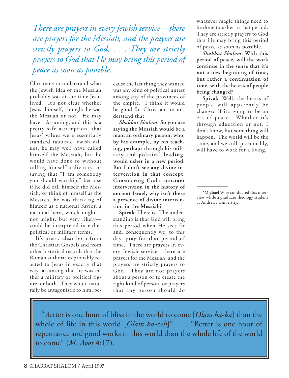*There are prayers in every Jewish service—there are prayers for the Messiah, and the prayers are strictly prayers to God. . . . They are strictly prayers to God that He may bring this period of peace as soon as possible.*

Christians to understand what the Jewish idea of the Messiah probably was at the time Jesus lived. It's not clear whether Jesus, himself, thought he was the Messiah or not. He may have. Assuming, and this is a pretty safe assumption, that Jesus' values were essentially standard rabbinic Jewish values, he may well have called himself the Messiah, but he would have done so without calling himself a divinity, or saying that "I am somebody you should worship," because if he did call himself the Messiah, or think of himself as the Messiah, he was thinking of himself as a national Savior, a national hero, which might not might, but very likely could be interpreted in either political or military terms.

It's pretty clear both from the Christian Gospels and from other historical records that the Roman authorities probably reacted to Jesus in exactly that way, assuming that he was either a military or political figure, or both. They would naturally be antagonistic to him, because the last thing they wanted was any kind of political unrest among any of the provinces of the empire. I think it would be good for Christians to understand that.

*Shabbat Shalom***: So you are saying the Messiah would be a man, an ordinary person, who, by his example, by his teaching, perhaps through his military and political leading, would usher in a new period. But I don't see any divine intervention in that concept. Considering God's constant intervention in the history of ancient Israel, why isn't there a presence of divine intervention in the Messiah?**

**Spivak**: There is. The understanding is that God will bring this period when He sees fit and, consequently we, to this day, pray for that period of time. There are prayers in every Jewish service—there are prayers for the Messiah, and the prayers are strictly prayers to God. They are not prayers about a person or to create the right kind of person, or prayers that any person should do

whatever magic things need to be done to usher in that period. They are strictly prayers to God that He may bring this period of peace as soon as possible.

*Shabbat Shalom***: With this period of peace, will the work continue in the sense that it's not a new beginning of time, but rather a continuation of time, with the hearts of people being changed?**

**Spivak**: Well, the hearts of people will apparently be changed if it's going to be an era of peace. Whether it's through education or not, I don't know, but something will happen. The world will be the same, and we still, presumably, will have to work for a living.

\*Michael Wise conducted this interview while a graduate theology student at Andrews University.

"Better is one hour of bliss in the world to come [*Olam ha-ba*] than the whole of life in this world [*Olam ha-zeh*]" . . . "Better is one hour of repentance and good works in this world than the whole life of the world to come" (*M. Avot* 4:17).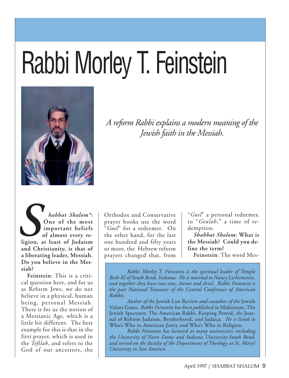# Rabbi Morley T. Feinstein



*A reform Rabbi explains a modern meaning of the Jewish faith in the Messiah.*

*habbat Shalom\****: One of the most important beliefs of almost every religion, at least of Judaism and Christianity, is that of a liberating leader, Messiah. Do you believe in the Messiah?** *S*<br>ligion,

**Feinstein**: This is a critical question here, and for us as Reform Jews, we do not believe in a physical, human being, personal Messiah. There is for us the notion of a Messianic Age, which is a little bit different. The best example for this is that in the first prayer, which is used in the *Tefilah*, and refers to the God of our ancestors, the

Orthodox and Conservative prayer books use the word "*Goel*" for a redeemer. On the other hand, for the last one hundred and fifty years or more, the Hebrew reform prayers changed that, from

"*Goel*" a personal redeemer, to "*Geulah*," a time of redemption.

*Shabbat Shalom***: What is the Messiah? Could you define the term?**

**Feinstein**: The word Mes-

*Rabbi Morley T. Feinstein is the spiritual leader of Temple Beth-El of South Bend, Indiana. He is married to Nancy Lichtenstein, and together they have two sons, Aaron and Ariel. Rabbi Feinstein is the past National Treasurer of the Central Conference of American Rabbis.*

*Author of the* Jewish Law Review *and coauthor of the* Jewish Values Game*, Rabbi Feinstein has been published in* Midstream, The Jewish Spectator, The American Rabbi, Keeping Posted, *the* Journal of Reform Judaism, Brotherhood, *and* Judaica*. He is listed in* Who's Who in American Jewry *and* Who's Who in Religion.

*Rabbi Feinstein has lectured at many universities including the University of Notre Dame and Indiana University-South Bend, and served on the faculty of the Department of Theology at St. Mary's University in San Antonio*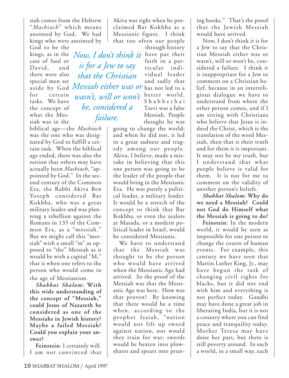siah comes from the Hebrew "*Mashiach*" which means anointed by God. We had kings who were anointed by

God to be the kings, as in the *Now, I don't think it* have put their case of Saul or David, and there were also special men set aside by God *Messiah either was or* has not led to a for certain tasks. We have the concept of what the Messiah was in the

biblical age—the *Mashiach* was the one who was designated by God to fulfill a certain task. When the biblical age ended, there was also the notion that others may have actually been *Mashiach*, "appointed by God." In the second century of the Common Era, the Rabbi Akiva Ben Yoseph considered Bar Kokhba, who was a great military leader and was planning a rebellion against the Romans in 135 of the Common Era, as a "messiah." But we might call this "messiah" with a small "m" as opposed to "the" Messiah as it would be with a capital "M," that is when one refers to the person who would come in the age of Messianism.

*Shabbat Shalom***: With this wide understanding of the concept of "Messiah," could Jesus of Nazareth be considered as one of the Messiahs in Jewish history? Maybe a failed Messiah? Could you explain your answer?**

**Feinstein**: I certainly will. I am not convinced that Akiva was right when he proclaimed Bar Kokhba as a Messianic figure. I think that too often our people

*is for a Jew to say that the Christian wasn't, will or won't be, considered a failure.*

through history faith in a particular individual leader and sadly that better world. S habbethai Tzevi was a false Messiah. People thought he was

going to change the world; and when he did not, it led to a great sadness and tragedy among our people. Akiva, I believe, made a mistake in believing that this one person was going to be the leader of the people that would bring in the Messianic Era. He was purely a political leader, a military leader. It would be a stretch of the concept to think that Bar Kokhba, or even the zealots at Masada, or a modern political leader in Israel, would be considered Messianic.

We have to understand that the Messiah was thought to be the person who would have arrived when the Messianic Age had arrived. So the proof of the Messiah was that the Messianic Age was here. How was that proven? By knowing that there would be a time when, according to the prophet Isaiah, "nation would not lift up sword against nation, nor would they train for war; swords would be beaten into plowshares and spears into pruning hooks." That's the proof that the Jewish Messiah would have arrived.

Now, I don't think it is for a Jew to say that the Christian Messiah either was or wasn't, will or won't be, considered a failure. I think it is inappropriate for a Jew to comment on a Christian belief, because in an interreligious dialogue we have to understand from where the other person comes, and if I am sitting with Christians who believe that Jesus is indeed the Christ, which is the translation of the word Messiah, then that is their truth and for them it is important. It may not be my truth, but I understand that what people believe is valid for them. It is not for me to comment on the validity of another person's beliefs.

*Shabbat Shalom***: Why do we need a Messiah? Could not God do Himself what the Messiah is going to do?**

**Feinstein**: In the modern world, it would be seen as impossible for one person to change the course of human events. For example, this century we have seen that Martin Luther King, Jr., may have begun the task of changing civil rights for blacks, but it did not end with him and everything is not perfect today. Gandhi may have done a great job in liberating India, but it is not a country where you can find peace and tranquility today. Mother Teresa may have done her part, but there is still poverty around. In such a world, in a small way, each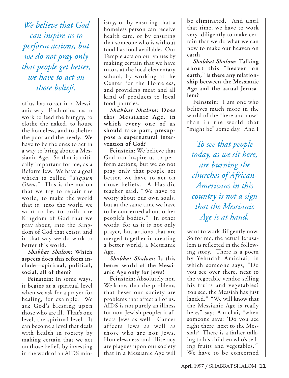*We believe that God can inspire us to perform actions, but we do not pray only that people get better, we have to act on those beliefs.*

of us has to act in a Messianic way. Each of us has to work to feed the hungry, to clothe the naked, to house the homeless, and to shelter the poor and the needy. We have to be the ones to act in a way to bring about a Messianic Age. So that is critically important for me, as a Reform Jew. We have a goal which is called "*Tiqqun Olam*." This is the notion that we try to repair the world, to make the world that is, into the world we want to be, to build the Kingdom of God that we pray about, into the Kingdom of God that exists, and in that way we do work to better this world.

*Shabbat Shalom***: Which aspects does this reform include—spiritual, political, social, all of them?**

**Feinstein**: In some ways, it begins at a spiritual level when we ask for a prayer for healing, for example. We ask God's blessing upon those who are ill. That's one level, the spiritual level. It can become a level that deals with health in society by making certain that we act on those beliefs by investing in the work of an AIDS ministry, or by ensuring that a homeless person can receive health care, or by ensuring that someone who is without food has food available. Our Temple acts on our values by making certain that we have tutors at the local elementary school, by working at the Center for the Homeless, and providing meat and all kind of products to local food pantries.

*Shabbat Shalom***: Does this Messianic Age, in which every one of us should take part, presuppose a supernatural intervention of God?**

**Feinstein**: We believe that God can inspire us to perform actions, but we do not pray only that people get better, we have to act on those beliefs. A Hasidic teacher said, "We have to worry about our own souls, but at the same time we have to be concerned about other people's bodies." In other words, for us it is not only prayer, but actions that are merged together in creating a better world, a Messianic Age.

*Shabbat Shalom***: Is this better world of the Messianic Age only for Jews?**

**Feinstein**: Absolutely not. We know that the problems that beset our society are problems that affect all of us. AIDS is not purely an illness for non-Jewish people; it affects Jews as well. Cancer affects Jews as well as those who are not Jews. Homelessness and illiteracy are plagues upon our society that in a Messianic Age will

be eliminated. And until that time, we have to work very diligently to make certain that we do what we can now to make our heaven on earth.

*Shabbat Shalom***: Talking about this "heaven on earth," is there any relationship between the Messianic Age and the actual Jerusalem?**

**Feinstein**: I am one who believes much more in the world of the "here and now" than in the world that "might be" some day. And I

*To see that people today, as we sit here, are burning the churches of African-Americans in this country is not a sign that the Messianic Age is at hand.*

want to work diligently now. So for me, the actual Jerusalem is reflected in the following story. There is a poem by Yehudah Amichai, in which someone says, "Do you see over there, next to the vegetable vendor selling his fruits and vegetables? You see, the Messiah has just landed." "We will know that the Messianic Age is really here," says Amichai, "when someone says: 'Do you see right there, next to the Messiah? There is a father talking to his children who's selling fruits and vegetables.'" We have to be concerned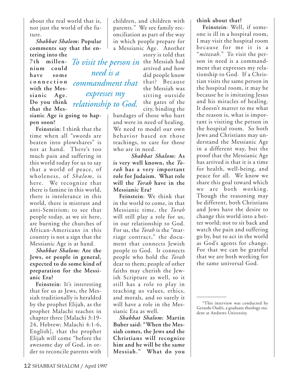about the real world that is, not just the world of the future.

*Shabbat Shalom***: Popular comments say that the entering into the**

*need is a*

*expresses my*

**7th millennium could have some connection with the Messianic Age. Do you think that the Mes***commandment that relationship to God.*

**sianic Age is going to happen soon?**

**Feinstein**: I think that the time when all "swords are beaten into plowshares" is not at hand. There's too much pain and suffering in this world today for us to say that a world of peace, of wholeness, of *Shalom*, is here. We recognize that there is famine in this world, there is intolerance in this world, there is mistrust and anti-Semitism; to see that people today, as we sit here, are burning the churches of African-Americans in this country is not a sign that the Messianic Age is at hand.

*Shabbat Shalom***: Are the Jews, or people in general, expected to do some kind of preparation for the Messianic Era?**

**Feinstein**: It's interesting that for us as Jews, the Messiah traditionally is heralded by the prophet Elijah, as the prophet Malachi teaches in chapter three [Malachi 3:19- 24, Hebrew; Malachi 4:1-6, English], that the prophet Elijah will come "before the awesome day of God, in order to reconcile parents with children, and children with parents." We see family reconciliation as part of the way in which people prepare for a Messianic Age. Another

story is told that To visit the person in the Messiah had arrived and how did people know that? Because the Messiah was sitting outside the gates of the city, binding the

bandages of those who hurt and were in need of healing. We need to model our own behavior based on those teachings, to care for those who are in need.

*Shabbat Shalom***: As is very well known, the** *Torah* **has a very important role for Judaism. What role will the** *Torah* **have in the Messianic Era?**

**Feinstein**: We think that in the world to come, in that Messianic time, the *Torah* will still play a role for us, in our relationship to God. For us, the *Torah* is the "marriage contract," the document that connects Jewish people to God. It connects people who hold the *Torah* dear to them; people of other faiths may cherish the Jewish Scripture as well, so it still has a role to play in teaching us values, ethics, and morals, and so surely it will have a role in the Messianic Era as well.

*Shabbat Shalom***: Martin Buber said: "When the Messiah comes, the Jews and the Christians will recognize him and he will be the same Messiah." What do you**

### **think about that?**

**Feinstein**: Well, if someone is ill in a hospital room, I may visit the hospital room because for me it is a "*mitzvah*." To visit the person in need is a commandment that expresses my relationship to God. If a Christian visits the same person in the hospital room, it may be because he is imitating Jesus and his miracles of healing. It doesn't matter to me what the reason is, what is important is visiting the person in the hospital room. So both Jews and Christians may understand the Messianic Age in a different way, but the proof that the Messianic Age has arrived is that it is a time for health, well-being, and peace for all. We know we share this goal toward which we are both working. Though the reasoning may be different, both Christians and Jews have the desire to change this world into a better world; not to sit back and watch the pain and suffering go by, but to act in the world as God's agents for change. For that we can be grateful that we are both working for the same universal God.

<sup>\*</sup>This interview was conducted by Gerardo Oudri, a graduate theology student at Andrews University.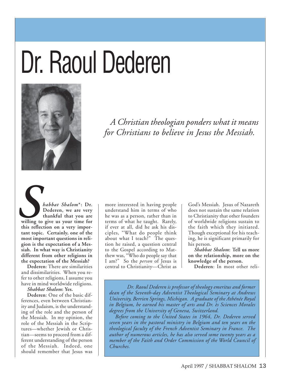# Dr. Raoul Dederen



*A Christian theologian ponders what it means for Christians to believe in Jesus the Messiah.*

*habbat Shalom*<sup>\*</sup>: Dr.<br>
Dederen, we are very<br>
thankful that you are<br>
willing to give us your time for<br>
this reflection on a very impor-**Dederen, we are very thankful that you are willing to give us your time for this reflection on a very important topic. Certainly, one of the most important questions in religion is the expectation of a Messiah. In what way is Christianity different from other religions in the expectation of the Messiah?**

> **Dederen**: There are similarities and dissimilarities. When you refer to other religions, I assume you have in mind worldwide religions.

*Shabbat Shalom***: Yes.**

**Dederen**: One of the basic differences, even between Christianity and Judaism, is the understanding of the role and the person of the Messiah. In my opinion, the role of the Messiah in the Scriptures—whether Jewish or Christian—seems to proceed from a different understanding of the person of the Messiah. Indeed, one should remember that Jesus was

more interested in having people understand him in terms of who he was as a person, rather than in terms of what he taught. Rarely, if ever at all, did he ask his disciples, "What do people think about what I teach?" The question he raised, a question central to the Gospel according to Matthew was, "Who do people say that I am?" So the *person* of Jesus is central to Christianity—Christ as God's Messiah. Jesus of Nazareth does not sustain the same relation to Christianity that other founders of worldwide religions sustain to the faith which they initiated. Though exceptional for his teaching, he is significant primarily for his person.

*Shabbat Shalom***: Tell us more on the relationship, more on the knowledge of the person.**

**Dederen**: In most other reli-

*Dr. Raoul Dederen is professor of theology emeritus and former dean of the Seventh-day Adventist Theological Seminary at Andrews University, Berrien Springs, Michigan. A graduate of the Athénée Royal in Belgium, he earned his master of arts and Dr. ès Sciences Morales degrees from the University of Geneva, Switzerland.*

*Before coming to the United States in 1964, Dr. Dederen served seven years in the pastoral ministry in Belgium and ten years on the theological faculty of the French Adventist Seminary in France. The author of numerous articles, he has also served some twenty years as a member of the Faith and Order Commission of the World Council of Churches.*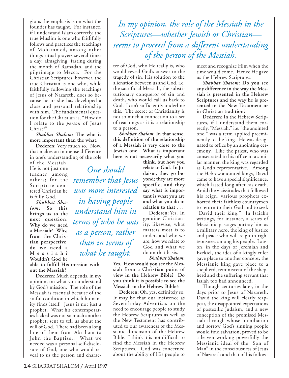gions the emphasis is on what the founder has taught. For instance, if I understand Islam correctly, the true Muslim is one who faithfully follows and practices the teachings of Mohammed, among other things ritual prayers several times a day, almsgiving, fasting during the month of Ramadan, and the pilgrimage to Mecca. For the Christian Scriptures, however, the true Christian is one who, while faithfully following the teachings of Jesus of Nazareth, does so because he or she has developed a close and personal relationship with him. The fundamental question for the Christian is, "How do I relate to the *person* of Jesus Christ?"

*Shabbat Shalom***: The who is more important than the what.**

**Dederen**: Very much so. Now, that makes an immense difference in one's understanding of the role

of the Messiah. He is not just one teacher among others; for the Scripture-centered Christian he is fully God.

*Shabbat Shalom***: So this brings us to the next question. Why do we need a Messiah? Why, from the Christian perspective, do we need a M essiah? Wouldn't God be**

**able to fulfill His mission without the Messiah?**

**Dederen**: Much depends, in my opinion, on what you understand by God's mission. The role of the Messiah is essential because of the sinful condition in which humanity finds itself. Jesus is not just a prophet. What his contemporaries lacked was not so much another prophet, sent to tell us about the will of God. There had been a long line of them from Abraham to John the Baptizer. What we needed was a personal self-disclosure of God, one who would reveal to us the person and charac-

*In my opinion, the role of the Messiah in the Scriptures—whether Jewish or Christian seems to proceed from a different understanding of the person of the Messiah.*

ter of God, who He really is, who would reveal God's answer to the tragedy of sin, His solution to the alienation between us and God, i.e. the sacrificial Messiah, the substitutionary conqueror of sin and death, who would call us back to God. I can't sufficiently underline this. The secret of Christianity is not so much a connection to a set of teachings as it is a relationship to a person.

*Shabbat Shalom***: In that sense, this definition of the relationship of a Messiah is very close to the Jewish one. What is important here is not necessarily what you**

*One should remember that Jesus was more interested in having people understand him in terms of who he was as a person, rather than in terms of what he taught.*

**think, but how you relate to God. In Judaism, they go beyond; they are more specific, and they say what is important is what you are and what you do in relation to that . . .**

**Dederen**: Yes. In genuine Christianity, likewise, what matters most is to understand who we are, how we relate to God and what we do on that basis.

*Shabbat Shalom***:**

**Yes. How would you see the Messiah from a Christian point of view in the Hebrew Bible? Do you think it is possible to see the Messiah in the Hebrew Bible?**:

**Dederen:** Oh, yes, definitely so. It may be that our insistence as Seventh-day Adventists on the need to encourage people to study the Hebrew Scriptures as well as the New Testament has contributed to our awareness of the Messianic dimension of the Hebrew Bible. I think it is not difficult to find the Messiah in the Hebrew Scriptures. God was concerned about the ability of His people to

meet and recognize Him when the time would come. Hence He gave us the Hebrew Scriptures.

*Shabbat Shalom***: Do you see any difference in the way the Messiah is presented in the Hebrew Scriptures and the way he is presented in the New Testament or in Christian tradition?**

**Dederen**: In the Hebrew Scriptures, if I understand them correctly, "Messiah," i.e. "the anointed one," was a term applied preeminently to the king. He was designated to office by an anointing ceremony. Like the priest, who was consecrated to his office in a similar manner, the king was regarded as God's representative. Among the Hebrew anointed kings, David came to have a special significance, which lasted long after his death. Amid the vicissitudes that followed his reign, various prophets exhorted their faithless countrymen to return to their God and to seek "David their king." In Isaiah's writings, for instance, a series of Messianic passages portray him as a military hero, the king of justice and peace who will reign in righteousness among his people. Later on, in the days of Jeremiah and Ezekiel, the idea of a kingly ruler gave place to another concept; the Messianic king gave place to a shepherd, reminiscent of the shepherd and the suffering servant that Isaiah too had announced.

Though centuries later, in the days prior to Jesus of Nazareth, David the king will clearly reappear, the disappointed expectations of postexilic Judaism, and a new conception of the promised Messiah through whose humiliation and sorrow God's sinning people would find salvation, proved to be a leaven working powerfully the Messianic ideal of the "Son of Man" in the consciousness of Jesus of Nazareth and that of his follow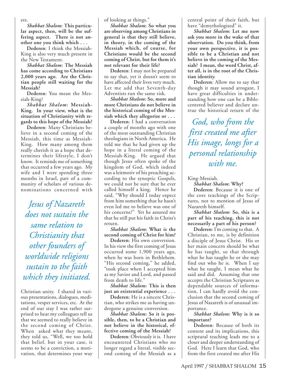ers.

*Shabbat Shalom***: This particular aspect, then, will be the suffering aspect. There is not another one you think which . . .**

**Dederen**: I think the Messiah-King is also very much present in the New Testament.

*Shabbat Shalom***: The Messiah has come according to Christians 2,000 years ago. Are the Christian people still waiting for the Messiah?**

**Dederen**: You mean the Messiah-King?

*Shabbat Shalom***: Messiah-King. In your view, what is the situation of Christianity with regards to this hope of the Messiah?**

**Dederen**: Many Christians believe in a second coming of the Messiah, this time as Messiah-King. How many among them really cherish it as a hope that determines their lifestyle, I don't know. It reminds me of something that occurred a few years ago. My wife and I were spending three months in Israel, part of a community of scholars of various denominations concerned with

*Jesus of Nazareth does not sustain the same relation to Christianity that other founders of worldwide religions sustain to the faith which they initiated.*

Christian unity. I shared in various presentations, dialogues, meditations, vesper services, etc. At the end of our stay I was rather surprised to hear my colleagues tell us that we seemed to really believe in the second coming of Christ. When asked what they meant, they told us, "Well, we too hold that belief, but in your case, it seems to be a conviction, a motivation, that determines your way

of looking at things."

*Shabbat Shalom***: So what you are observing among Christians in general is that they still believe, in theory, in the coming of the Messiah which, of course, for Christians would be the second coming of Christ, but for them it's not relevant for their life?**

**Dederen**: I may not be prepared to say that, yet it doesn't seem to have affected their lives very much. Let me add that Seventh-day Adventists run the same risk.

*Shabbat Shalom***: So, more and more Christians do not believe in the historical coming of the Messiah which they allegorize or . . .**

**Dederen**: I had a conversation a couple of months ago with one of the most outstanding Christian theologians in North America. He told me that he had given up the hope in a literal coming of the Messiah-King. He argued that though Jesus often spoke of the kingdom of God, which indeed was a leitmotiv of his preaching according to the synoptic Gospels, we could not be sure that he ever called himself a king. Hence he said, "Why should I today expect from him something that he hasn't even led me to believe was one of his concerns?" Yet he assured me that he still put his faith in Christ's return.

*Shabbat Shalom***: What is the second coming of Christ for him?**

**Dederen**: His own conversion. In his view the first coming of Jesus occurred some 1,900 years ago, when he was born in Bethlehem. "His second coming," he added, "took place when I accepted him as my Savior and Lord, and passed from death to life."

*Shabbat Shalom***: This is then just an existential experience . . .**

**Dederen**: He is a sincere Christian, who strikes me as having undergone a genuine conversion.

*Shabbat Shalom***: So it is possible, then, to be a Christian and not believe in the historical, effective coming of the Messiah?**

**Dederen**: Obviously it is. I have encountered Christians who no longer regard a literal, visible second coming of the Messiah as a central point of their faith, but have "demythologized" it.

*Shabbat Shalom***: Let me now ask you more in the wake of that observation. Do you think, from your own perspective, it is possible to be a Christian and not believe in the coming of the Messiah? I mean, the word Christ, after all, is in the root of the Christian identity.**

**Dederen**: Allow me to say that though it may sound arrogant, I have great difficulties in understanding how one can be a Biblecentered believer and declare untrue the historical return of the

*God, who from the first created me after His image, longs for a personal relationship with me.*

King-Messiah.

*Shabbat Shalom***: Why?**

**Dederen**: Because it is one of the core teachings of the Scriptures, not to mention of Jesus of Nazareth himself.

*Shabbat Shalom***: So, this is a part of his teaching, this is not necessarily a part of his person?**

**Dederen**: I'm coming to that. A Christian, to me, is by definition a disciple of Jesus Christ. His or her main concern should be what he has taught, so that through what he has taught he or she may find out who he is. When I say what he taught, I mean what he said and did. Assuming that one accepts the Christian Scriptures as dependable sources of information, I can hardly avoid the conclusion that the second coming of Jesus of Nazareth is of unusual importance.

*Shabbat Shalom***: Why is it so important?**

**Dederen**: Because of both its content and its implications, this scriptural teaching leads me to a closer and deeper understanding of God. Here I learn that God, who from the first created me after His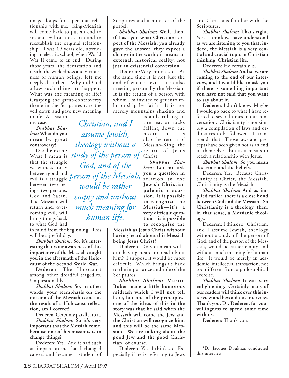image, longs for a personal relationship with me. King-Messiah will come back to put an end to sin and evil on this earth and to reestablish the original relationship. I was 19 years old, attending an electric school, when World War II came to an end. During those years, the devastation and death, the wickedness and viciousness of human beings, left me deeply disturbed. Why did God allow such things to happen? What was the meaning of life? Grasping the great-controversy theme in the Scriptures tore the veil down and gave new meaning to life. At least in

my case.

*Shabbat Shalom***: What do you mean by great controversy?**

**D ederen** : that the struggle we witness today between good and evil is a struggle *person of the Messiah,* between two beings, two persons, God and Satan. The Messiah will return and, overcoming evil, will bring things back to what God had

in mind from the beginning. This will be a joyful day.

*Shabbat Shalom***: So, it's interesting that your awareness of this importance of the Messiah caught you in the aftermath of the Holocaust of the Second World War.**

**Dederen**: The Holocaust among other dreadful tragedies. Unquestionably.

*Shabbat Shalom***: So, in other words, your reemphasis on the mission of the Messiah comes as the result of a Holocaust reflection, am I correct?**

**Dederen**: Certainly parallel to it. *Shabbat Shalom***: So it's very important that the Messiah come, because one of his missions is to change things?**

**Dederen**: Yes. And it had such an impact on me that I changed careers and became a student of

Scriptures and a minister of the gospel.

*Shabbat Shalom***: Well, then, if I ask you what Christians expect of the Messiah, you already gave the answer: they expect a change in the world; it means an external, historical reality, not just an existential conversion.**

**Dederen**:Very much so. At the same time it is not just the end of what is evil. It is also meeting personally the Messiah. It is the return of a person with whom I'm invited to get into relationship by faith. It is not merely mountains shaking and

What I mean is *study of the person of* Christ. islands rolling in the sea, or rocks falling down the mountains—it's also the return of Messiah-King, the return of Jesus *Christian, and I assume Jewish, theology without a God, and of the would be rather*

*empty and without*

*much meaning for*

*human life.*

*Shabbat Shalom***: Let me ask you a question in relation to the Jewish-Christian polemic discussion. Is it possible to recognize the Messiah—it's a very difficult question—is it possible to recognize the**

**Messiah as Jesus Christ without having heard about this Messiah being Jesus Christ?**

**Dederen**: Do you mean without having heard or read about him? I suppose it would be most difficult. Which brings us back to the importance and role of the Scriptures.

*Shabbat Shalom***: Martin Buber made a little humorous midrash which I will not tell here, but one of the principles, one of the ideas of this in the story was that he said when the Messiah will come the Jew and the Christian will recognize him, and this will be the same Messiah. We are talking about the good Jew and the good Christian, of course.**

**Dederen**: Yes, I think so. Especially if he is referring to Jews and Christians familiar with the Scriptures.

*Shabbat Shalom***: That's right. Yes. I think we have understood as we are listening to you that, indeed, the Messiah is a very central and crucial topic in Christian thinking, Christian life.**

**Dederen**: He certainly is.

*Shabbat Shalom***: And so we are coming to the end of our interview, and I would like to ask you if there is something important you have not said that you want to say about it.**

**Dederen**: I don't know. Maybe I would go back to what I have referred to several times in our conversation. Christianity is not simply a compilation of laws and ordinances to be followed. It transcends that. Those laws and precepts have been given not as an end in themselves, but as a means to reach a relationship with Jesus.

*Shabbat Shalom***: So you mean doctrines and the beliefs.**

**Dederen**: Yes. Because Christianity is Christ, the Messiah. Christianity is the Messiah.

*Shabbat Shalom***: And as implied earlier, there is a close bond between God and the Messiah. So Christianity is a theology, then, in that sense, a Messianic theology.**

**Dederen**: I think so. Christian, and I assume Jewish, theology without a study of the person of God, and of the person of the Messiah, would be rather empty and without much meaning for human life. It would be merely an academic, intellectual transaction, not too different from a philosophical exercise.

*Shabbat Shalom***: It was very enlightening. Certainly many of our readers will think over this interview and beyond this interview. Thank you, Dr. Dederen, for your willingness to spend some time with us.**

**Dederen:** Thank you.

<sup>\*</sup>Dr. Jacques Doukhan conducted this interview.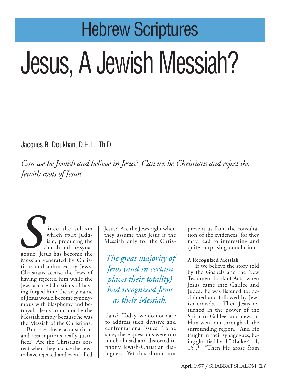## Hebrew Scriptures

# Jesus, A Jewish Messiah?

Jacques B. Doukhan, D.H.L., Th.D.

*Can we be Jewish and believe in Jesus? Can we be Christians and reject the Jewish roots of Jesus?*

ince the schism which split Judaism, producing the church and the synaince the schism<br>which split Juda-<br>ism, producing the<br>church and the syna-<br>gogue, Jesus has become the<br>Messiah venerated by Chris-Messiah venerated by Christians and abhorred by Jews. Christians accuse the Jews of having rejected him while the Jews accuse Christians of having forged him; the very name of Jesus would become synonymous with blasphemy and betrayal. Jesus could not be the Messiah simply because he was the Messiah of the Christians.

But are these accusations and assumptions really justified? Are the Christians correct when they accuse the Jews to have rejected and even killed Jesus? Are the Jews right when they assume that Jesus is the Messiah only for the Chris-

*The great majority of Jews (and in certain places their totality) had recognized Jesus as their Messiah.*

tians? Today, we do not dare to address such divisive and confrontational issues. To be sure, these questions were too much abused and distorted in phony Jewish-Christian dialogues. Yet this should not prevent us from the consultation of the evidences, for they may lead to interesting and quite surprising conclusions.

### **A Recognized Messiah**

If we believe the story told by the Gospels and the New Testament book of Acts, when Jesus came into Galilee and Judea, he was listened to, acclaimed and followed by Jewish crowds. "Then Jesus returned in the power of the Spirit to Galilee, and news of Him went out through all the surrounding region. And He taught in their synagogues, being glorified by all" (Luke 4:14, 15).1 "Then He arose from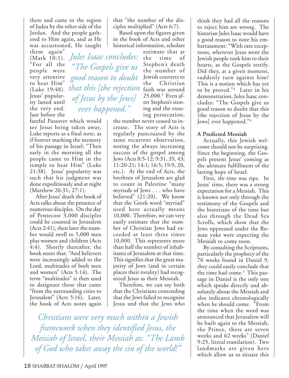there and came to the region of Judea by the other side of the Jordan. And the people gathered to Him again, and as He was accustomed, He taught

them again" (Mark 10:1). "For all the people were very attentive to hear Him" Jesus' popularity lasted until the very end. Just before the

fateful Passover which would see Jesus being taken away, Luke reports as a final note, as if forever marking the memory of his passage in Israel: "Then early in the morning all the people came to Him in the temple to hear Him" (Luke 21:38). Jesus' popularity was such that his judgment was done expeditiously and at night (Matthew 26:31; 27:1).

*of Jesus by the Jews]*

*ever happened."*

After Jesus' death the book of Acts talks about the presence of numerous disciples. On the day of Pentecost 3,000 disciples could be counted in Jerusalem (Acts 2:41), then later the number would swell to 5,000 men plus women and children (Acts 4:4). Shortly thereafter, the book notes that: "And believers were increasingly added to the Lord, multitudes of both men and women" (Acts 5:14). The term "multitudes" is then used to designate those that came "from the surrounding cities to Jerusalem" (Acts 5:16). Later, the book of Acts notes again

that "the number of the disciples multiplied" (Acts 6:7).

Based upon the figures given in the book of Acts and other historical information, scholars

(Luke 19:48). faith was around *that this [the rejection* estimate that at<br>the time of time of Stephen's death the number of good reason to doubt Jewish converts to the Christian 25,000.2 Even after Stephen's stoning and the ensuing persecution, *Jules Isaac concludes: "The Gospels give us*

the number never ceased to increase. The story of Acts is regularly punctuated by the same recurrent observation, noting the always increasing success of the gospel among Jews (Acts 8:5-12; 9:31, 35, 43; 11:20-21; 14:1; 16:5; 19:9, 20, etc.). At the end of Acts, the brethren of Jerusalem are glad to count in Palestine "many myriads of Jews . . . who have believed" (21:20). We know that the Greek word "myriad" used here actually means 10,000. Therefore, we can very easily estimate that the number of Christian Jews had exceeded at least three times 10,000. This represents more than half the number of inhabitants of Jerusalem at that time. This signifies that the great majority of Jews (and in certain places their totality) had recognized Jesus as their Messiah.

Therefore, we can say both that the Christians contending that the Jews failed to recognize Jesus and that the Jews who

*Christians were very much within a Jewish framework when they identified Jesus, the Messiah of Israel, their Messiah as: "The Lamb of God who takes away the sin of the world!"*

think they had all the reasons to reject him are wrong. The historian Jules Isaac would have a good reason to note his embarrassment: "With rare exceptions, wherever Jesus went the Jewish people took him to their hearts, as the Gospels testify. Did they, at a given moment, suddenly turn against him? This is a notion which has yet to be proved."3 Later in his demonstration, Jules Isaac concludes: "The Gospels give us good reason to doubt that this [the rejection of Jesus by the Jews] ever happened."4

### **A Predicted Messiah**

Actually, this Jewish welcome should not be surprising. Since the beginning, the Gospels present Jesus' coming as the ultimate fulfillment of the lasting hope of Israel.

First, *the time* was ripe. In Jesus' time, there was a strong expectation for a Messiah. This is known not only through the testimony of the Gospels and the historians of the time but also through the Dead Sea Scrolls, which show that the Jews oppressed under the Roman yoke were expecting the Messiah to come soon.

By consulting the Scriptures, particularly the prophecy of the 70 weeks found in Daniel 9, they could easily conclude that the time had come.<sup>5</sup> This passage in Daniel is the only one which speaks directly and absolutely about the Messiah and also indicates chronologically when he should come. "From the time when the word was announced that Jerusalem will be built again to the Messiah, the Prince, there are seven weeks and 62 weeks" (Daniel 9:25, literal translation). Two landmarks are given here which allow us to situate this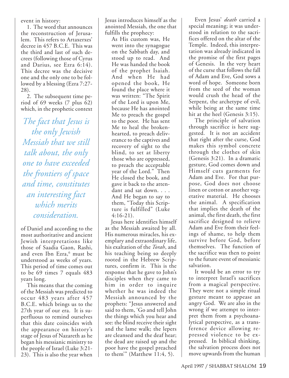event in history:

1. The word that announces the reconstruction of Jerusalem. This refers to Artaxerxes' decree in 457 B.C.E. This was the third and last of such decrees (following those of Cyrus and Darius, see Ezra 6:14). This decree was the decisive one and the only one to be followed by a blessing (Ezra 7:27- 28).

2. The subsequent time period of 69 weeks (7 plus 62) which, in the prophetic context

*The fact that Jesus is the only Jewish Messiah that we still talk about, the only one to have exceeded the frontiers of space and time, constitutes an interesting fact which merits consideration.*

of Daniel and according to the most authoritative and ancient Jewish interpretations like those of Saadia Gaon, Rashi, and even Ibn Ezra,<sup>6</sup> must be understood as weeks of years. This period of time comes out to be 69 times 7 equals 483 years long.

This means that the coming of the Messiah was predicted to occur 483 years after 457 B.C.E. which brings us to the 27th year of our era. It is superfluous to remind ourselves that this date coincides with the appearance on history's stage of Jesus of Nazareth as he began his messianic ministry to the people of Israel (Luke 3:21- 23). This is also the year when

Jesus introduces himself as the anointed Messiah, the one that fulfills the prophecy:

As His custom was, He went into the synagogue on the Sabbath day, and stood up to read. And He was handed the book of the prophet Isaiah. And when He had opened the book, He found the place where it was written: "The Spirit of the Lord is upon Me, because He has anointed Me to preach the gospel to the poor. He has sent Me to heal the brokenhearted, to preach deliverance to the captives and recovery of sight to the blind, to set at liberty those who are oppressed, to preach the acceptable year of the Lord." Then He closed the book, and gave it back to the attendant and sat down. . . . And He began to say to them, "Today this Scripture is fulfilled" (Luke 4:16-21).

Jesus here identifies himself as the Messiah awaited by all. His numerous miracles, his exemplary and extraordinary life, his exaltation of the *Torah*, and his teaching being so deeply rooted in the Hebrew Scriptures, confirm it. This is the response that he gave to John's disciples when they came to him in order to inquire whether he was indeed the Messiah announced by the prophets: "Jesus answered and said to them, 'Go and tell John the things which you hear and see: the blind receive their sight and the lame walk; the lepers are cleansed and the deaf hear; the dead are raised up and the poor have the gospel preached to them'" (Matthew 11:4, 5).

Even Jesus' *death* carried a special meaning; it was understood in relation to the sacrifices offered on the altar of the Temple. Indeed, this interpretation was already indicated in the promise of the first pages of Genesis. In the very heart of the curse that follows the fall of Adam and Eve, God sows a word of hope. Someone born from the seed of the woman would crush the head of the Serpent, the archetype of evil, while being at the same time hit at the heel (Genesis 3:15).

The principle of salvation through sacrifice is here suggested. It is not an accident that right after the curse, God makes this symbol concrete through the clothes of skin (Genesis 3:21). In a dramatic gesture, God comes down and Himself cuts garments for Adam and Eve. For that purpose, God does not choose linen or cotton or another vegetative material. He chooses the animal. A specification that implies the death of the animal, the first death, the first sacrifice designed to relieve Adam and Eve from their feelings of shame, to help them survive before God, before themselves. The function of the sacrifice was then to point to the future event of messianic salvation.

It would be an error to try to interpret Israel's sacrifices from a magical perspective. They were not a simple ritual gesture meant to appease an angry God. We are also in the wrong if we attempt to interpret them from a psychoanalytical perspective, as a transference device allowing repressed violence to be expressed. In biblical thinking, the salvation process does not move upwards from the human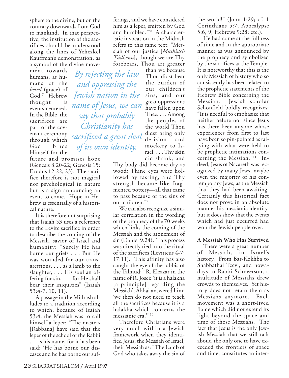sphere to the divine, but on the contrary downwards from God to mankind. In that perspective, the institution of the sacrifices should be understood along the lines of Yehezkel Kauffman's demonstration, as a symbol of the divine move-

ment towards humans, as humans of the *hesed* (grace) of God.7 Hebrew thought is events-centered. In the Bible, the sacrifices are part of the covenant ceremony through which God binds Himself for the

*By rejecting the law and oppressing the Jewish nation in the name of Jesus, we can say that probably Christianity has sacrificed a great deal of its own identity.*

future and promises hope (Genesis 8:20-22; Genesis 15; Exodus 12:22, 23). The sacrifice therefore is not magical nor psychological in nature but is a sign announcing an event to come. Hope in Hebrew is essentially of a historical nature.

It is therefore not surprising that Isaiah 53 uses a reference to the Levite sacrifice in order to describe the coming of the Messiah, savior of Israel and humanity: "Surely He has borne our griefs . . . But He was wounded for our transgressions, . . . as a lamb to the slaughter, . . . His soul an offering for sin, . . . for He shall bear their iniquities" (Isaiah 53:4-7, 10, 11).

A passage in the Midrash alludes to a tradition according to which, because of Isaiah 53:4, the Messiah was to call himself a leper: "The masters [Rabbana] have said that the leper of the school of the Rabbi . . . is his name, for it has been said: 'He has borne our diseases and he has borne our suf-

*Tsidkenu*], though we are Thy forebears, Thou art greater than we because Thou didst bear the burden of our children's sins, and our great oppressions have fallen upon Thee. . . . Among the peoples of the world Thou didst bring only derision and mockery to Israel. . . . Thy skin did shrink, and

Thy body did become dry as wood; Thine eyes were hollowed by fasting, and Thy strength became like fragmented pottery—all that came to pass because of the sins of our children."9

ferings, and we have considered him as a leper, smitten by God and humbled.'"8 A characteristic invocation in the Midrash refers to this same text: "Messiah of our justice [*Mashiach*

We can also recognize a similar correlation in the wording of the prophecy of the 70 weeks which links the coming of the Messiah and the atonement of sin (Daniel 9:24). This process was directly tied into the ritual of the sacrifices (Leviticus 4-7; 17:11). This affinity has also caught the eye of the rabbis of the Talmud: "R. Eleazar in the name of R. Josei: 'it is a halakha [a principle] regarding the Messiah'; Abbai answered him: 'we then do not need to teach all the sacrifices because it is a halakha which concerns the messianic era."<sup>10</sup>

Therefore Christians were very much within a Jewish framework when they identified Jesus, the Messiah of Israel, their Messiah as: "The Lamb of God who takes away the sin of the world!" (John 1:29; cf. 1 Corinthians 5:7; Apocalypse 5:6, 9; Hebrews 9:28; etc.).

He had come at the fullness of time and in the appropriate manner as was announced by the prophecy and symbolized by the sacrifices at the Temple. It is noteworthy that this is the only Messiah of history who so consistently has been related to the prophetic statements of the Hebrew Bible concerning the Messiah. Jewish scholar Schonfield boldly recognizes: "It is needful to emphasize that neither before nor since Jesus has there been anyone whose experiences from first to last have been so pin-pointed as tallying with what were held to be prophetic intimations concerning the Messiah."11 Indeed, Jesus of Nazareth was recognized by many Jews, maybe even the majority of his contemporary Jews, as the Messiah that they had been awaiting. Certainly this historical fact does not prove in an absolute manner his messianic identity, but it does show that the events which had just occurred had won the Jewish people over.

#### **A Messiah Who Has Survived**

There were a great number of Messiahs in Israel's history. From Bar-Kokhba to Shabbathai Tzevi, and nowadays to Rabbi Schneerson, a multitude of Messiahs drew crowds to themselves. Yet history does not retain them as Messiahs anymore. Each movement was a short-lived flame which did not extend its light beyond the space and time of those Messiahs. The fact that Jesus is the only Jewish Messiah that we still talk about, the only one to have exceeded the frontiers of space and time, constitutes an inter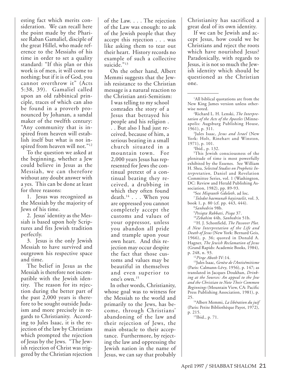esting fact which merits consideration. We can recall here the point made by the Pharisee Raban Gamaliel, disciple of the great Hillel, who made reference to the Messiahs of his time in order to set a quality standard: "If this plan or this work is of men, it will come to nothing; but if it is of God, you cannot overthrow it" (Acts 5:38, 39). Gamaliel called upon an old rabbinical principle, traces of which can also be found in a proverb pronounced by Johanan, a sandal maker of the twelfth century: "Any community that is inspired from heaven will establish itself but what is not inspired from heaven will not."<sup>12</sup>

To the question we asked at the beginning, whether a Jew could believe in Jesus as the Messiah, we can therefore without any doubt answer with a yes. This can be done at least for three reasons:

1. Jesus was recognized as the Messiah by the majority of Jews of his time.

2. Jesus' identity as the Messiah is based upon holy Scriptures and fits Jewish tradition perfectly.

3. Jesus is the only Jewish Messiah to have survived and outgrown his respective space and time.

The belief in Jesus as the Messiah is therefore not incompatible with the Jewish identity. The reason for its rejection during the better part of the past 2,000 years is therefore to be sought outside Judaism and more precisely in regards to Christianity. According to Jules Isaac, it is the rejection of the law by Christians which prompted the rejection of Jesus by the Jews. "The Jewish rejection of Christ was triggered by the Christian rejection

of the Law. . . . The rejection of the Law was enough: to ask of the Jewish people that they accept this rejection . . . was like asking them to tear out their heart. History records no example of such a collective suicide."13

On the other hand, Albert Memmi suggests that the Jewish resistance to the Christian message is a natural reaction to the Christian anti-Semitism:

I was telling to my school comrades the story of a Jesus that betrayed his people and his religion . . . But also I had just received, because of him, a serious beating in a small church situated in a mountain town. For 2,000 years Jesus has represented for Jews the continual pretext of a continual beating they received, a drubbing in which they often found death. $14$ ... When you are oppressed you cannot completely accept the customs and values of your oppressor, unless you abandon all pride and trample upon your own heart. And this rejection may occur despite the fact that those customs and values may be beautiful in themselves and even superior to one's own.15

In other words, Christianity, whose goal was to witness for the Messiah to the world and primarily to the Jews, has become, through Christians' abandoning of the law and their rejection of Jews, the main obstacle to their acceptance. Furthermore, by rejecting the law and oppressing the Jewish nation in the name of Jesus, we can say that probably

Christianity has sacrificed a great deal of its own identity.

If we can be Jewish and accept Jesus, how could we be Christians and reject the roots which have nourished Jesus? Paradoxically, with regards to Jesus, it is not so much the Jewish identity which should be questioned as the Christian one.

<sup>1</sup>All biblical quotations are from the New King James version unless otherwise noted.

2 Richard L. H. Lenski, *The Interpretation of the Acts of the Apostles* (Minneapolis: Augsburg Publishing House, 1961), p. 311.

3 Jules Isaac, *Jesus and Israel* (New York: Holt, Rinehart and Winston, 1971), p. 101.

4 Ibid., p. 132.

5 This Jewish consciousness of the plenitude of time is most powerfully exhibited by the Essenes. See William H. Shea, *Selected Studies on Prophetic Interpretation*, Daniel and Revelation Committee Series, vol. 1 (Washington, DC: Review and Herald Publishing Association, 1982), pp. 89-93.

6 See *Miqraoth Gdoloth*, ad loc.

7 *Toledot haemunah hayisraelit*, vol. 3, book 1, p. 80 (cf. pp. 443, 444).

8 *Sanhedrin* 98b.

9 *Pesiqta Rabbati*, *Pisqa* 37.

<sup>10</sup>*Zebahim* 44b, *Sanhedrin* 51b.

11H. J. Schonfield, *The Passover Plot. A New Interpretation of the Life and Death of Jesus* (New York: Bernard Geis, 1966), p. 36; quoted in Donald A. Hagner, *The Jewish Reclamation of Jesus* (Grand Rapids: Academie Books, 1984), p. 248, n. 93.

<sup>12</sup>*Pirqe Aboth* IV:14.

13Jules Isaac, *Genèse de l'Antisémitisme* (Paris: Calmann-Lévy, 1956), p. 147; as translated in Jacques Doukhan, *Drinking at the Sources: An appeal to the Jew and the Christian to Note Their Common Beginnings* (Mountain View, CA: Pacific Press Publishing Association, 1981), p.

<sup>14</sup>Albert Memmi, *La libération du juif* (Paris: Petite Bibliothèque Payot, 1972), p. 215.

15Ibid., p. 71.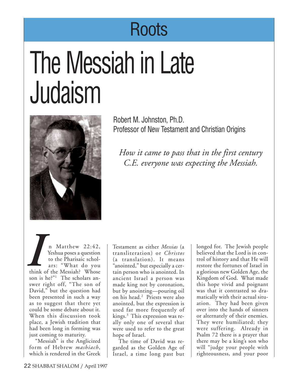## Roots

# The Messiah in Late Judaism



Robert M. Johnston, Ph.D. Professor of New Testament and Christian Origins

*How it came to pass that in the first century C.E. everyone was expecting the Messiah.*

n Matthew 22:42, Yeshua poses a question to the Pharisaic scholars: "What do you think of the Messiah? Whose son is he?"<sup>1</sup> The scholars answer right off, "The son of David," but the question had been presented in such a way as to suggest that there yet could be some debate about it. When this discussion took place, a Jewish tradition that had been long in forming was just coming to maturity. *I* Matthew 22:42,<br> *I* Testament as either *Messias* (a<br> *I* Yeshua poses a question<br>
to the Pharisaic schol-<br>
ars: "What do you "anointed," but especially a cer-<br>
think of the Messiah? Whose<br>
son is be?" The scholars and

"Messiah" is the Anglicized form of Hebrew *mashiach*, which is rendered in the Greek transliteration) or *Christos* (a translation). It means "anointed," but especially a certain person who is anointed. In ancient Israel a person was made king not by coronation, but by anointing—pouring oil on his head.2 Priests were also anointed, but the expression is used far more frequently of kings.3 This expression was really only one of several that were used to refer to the great hope of Israel.

The time of David was regarded as the Golden Age of Israel, a time long past but longed for. The Jewish people believed that the Lord is in control of history and that He will restore the fortunes of Israel in a glorious new Golden Age, the Kingdom of God. What made this hope vivid and poignant was that it contrasted so dramatically with their actual situation. They had been given over into the hands of sinners or alternately of their enemies. They were humiliated; they were suffering. Already in Psalm 72 there is a prayer that there may be a king's son who will "judge your people with righteousness, and your poor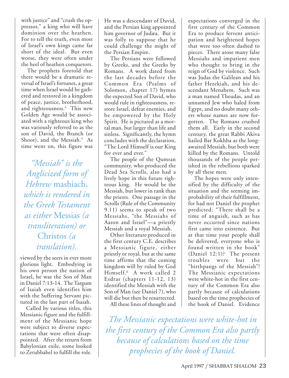with justice" and "crush the oppressor," a king who will have dominion over the heathen. For to tell the truth, even most of Israel's own kings came far short of the ideal. But even worse, they were often under the heel of heathen conquerors.

The prophets foretold that there would be a dramatic reversal of Israel's fortunes, a great time when Israel would be gathered and restored in a kingdom of peace, justice, brotherhood, and righteousness.<sup>4</sup> This new Golden Age would be associated with a righteous king who was variously referred to as the son of David, the Branch (or Shoot), and the Messiah.<sup>5</sup> As time went on, this figure was

*"Messiah" is the Anglicized form of Hebrew* mashiach, *which is rendered in the Greek Testament as either* Messias *(a transliteration) or* Christos *(a translation).*

viewed by the seers in ever more glorious light. Embodying in his own person the nation of Israel, he was the Son of Man in Daniel 7:13-14. The Targum of Isaiah even identifies him with the Suffering Servant pictured in the last part of Isaiah.

Called by various titles, this Messianic figure and the fulfillment of the Messianic hope were subject to diverse expectations that were often disappointed. After the return from Babylonian exile, some looked to Zerubbabel to fulfill the role. He was a descendant of David, and the Persian king appointed him governor of Judæa. But it was folly to suppose that he could challenge the might of the Persian Empire.

The Persians were followed by Greeks, and the Greeks by Romans. A work dated from the last decades before the Common Era (Psalms of Solomon, chapter 17) hymns the expected Son of David, who would rule in righteousness, restore Israel, defeat enemies, and be empowered by the Holy Spirit. He is pictured as a mortal man, but larger than life and sinless. Significantly, the hymn concludes with the declaration, "The Lord Himself is our King for ever and ever."

The people of the Qumran community, who produced the Dead Sea Scrolls, also had a lively hope in this future righteous king. He would be the Messiah, but lower in rank than the priests. One passage in the Scrolls (Rule of the Community 9.11) seems to speak of two Messiahs, "the Messiahs of Aaron and Israel"—a priestly Messiah and a royal Messiah.

Other literature produced in the first century C.E. describes a Messianic figure, either priestly or royal, but at the same time affirms that the coming kingdom will by ruled by God Himself.6 A work called 2 Esdras (chapters 11-12, 13) identified the Messiah with the Son of Man (see Daniel 7), who will die but then be resurrected.

All these lines of thought and

expectations converged in the first century of the Common Era to produce fervent anticipation and heightened hopes that were too often dashed to pieces. There arose many false Messiahs and impatient men who thought to bring in the reign of God by violence. Such was Judas the Galilean and his father Hezekiah, and his descendant Menahem. Such was a man named Theudas, and an unnamed Jew who haled from Egypt, and no doubt many others whose names are now forgotten. The Romans crushed them all. Early in the second century, the great Rabbi Akiva hailed Bar Kokhba as the longawaited Messiah, but both were killed by the Romans. Untold thousands of the people perished in the rebellions sparked by all these men.

The hopes were only intensified by the difficulty of the situation and the seeming improbability of their fulfillment, for had not Daniel the prophet predicted: "There shall be a time of anguish, such as has never occurred since nations first came into existence. But at that time your people shall be delivered, everyone who is found written in the book" (Daniel 12:1)? The present troubles were but the "birthpangs of the Messiah"! The Messianic expectations were white-hot in the first century of the Common Era also partly because of calculations based on the time prophecies of the book of Daniel. Evidence

*The Messianic expectations were white-hot in the first century of the Common Era also partly because of calculations based on the time prophecies of the book of Daniel.*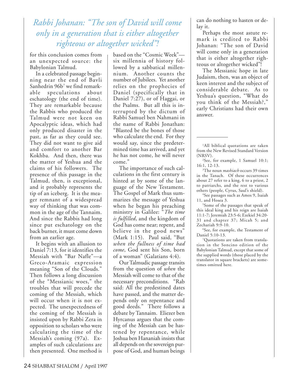### *Rabbi Johanan: "The son of David will come only in a generation that is either altogether righteous or altogether wicked"!*

for this conclusion comes from an unexpected source: the Babylonian Talmud.

In a celebrated passage beginning near the end of Bavli Sanhedrin 96b<sup>7</sup> we find remarkable speculations about eschatology (the end of time). They are remarkable because the Rabbis who produced the Talmud were not keen on Apocalyptic ideas, which had only produced disaster in the past, as far as they could see. They did not want to give aid and comfort to another Bar Kokhba. And then, there was the matter of Yeshua and the claims of his followers. The presence of this passage in the Talmud, then, is exceptional, and it probably represents the tip of an iceberg. It is the meager remnant of a widespread way of thinking that was common in the age of the Tannaim. And since the Rabbis had long since put eschatology on the back burner, it must come down from an earlier age.

It begins with an allusion to Daniel 7:13, for it identifies the Messiah with "Bar Nafle"—a Greco-Aramaic expression meaning "Son of the Clouds." Then follows a long discussion of the "Messianic woes," the troubles that will precede the coming of the Messiah, which will occur when it is not expected. The unexpectedness of the coming of the Messiah is insisted upon by Rabbi Zera in opposition to scholars who were calculating the time of the Messiah's coming (97a). Examples of such calculations are then presented. One method is based on the "Cosmic Week" six millennia of history followed by a sabbatical millennium. Another counts the number of Jubilees. Yet another relies on the prophecies of Daniel (specifically that in Daniel 7:27), or of Haggai, or the Psalms. But all this is interrupted by the dictum of Rabbi Samuel ben Nahmani in the name of Rabbi Jonathan: "Blasted be the bones of those who calculate the end. For they would say, since the predetermined time has arrived, and yet he has not come, he will never come."

The importance of such calculations in the first century is hinted at by some of the language of the New Testament. The Gospel of Mark thus summarizes the message of Yeshua when he began his preaching ministry in Galilee: "*The time is fulfilled*, and the kingdom of God has come near; repent, and believe in the good news" (Mark 1:15). Paul said, "But *when the fullness of time had come*, God sent his Son, born of a woman" (Galatians 4:4).

Our Talmudic passage transits from the question of *when* the Messiah will come to that of the necessary preconditions. "Rab said: All the predestined dates have passed, and the matter depends only on repentance and good deeds." There follows a debate by Tannaim. Eliezer ben Hyrcanus argues that the coming of the Messiah can be hastened by repentance, while Joshua ben Hananiah insists that all depends on the sovereign purpose of God, and human beings can do nothing to hasten or delay it.

Perhaps the most astute remark is credited to Rabbi Johanan: "The son of David will come only in a generation that is either altogether righteous or altogether wicked"!

The Messianic hope in late Judaism, then, was an object of keen interest and the subject of considerable debate. As to Yeshua's question, "What do you think of the Messiah?," early Christians had their own answer.

3 The noun *mashiach* occurs 39 times in the Tanach. Of these occurrences about 27 refer to a king, 6 to a priest, 2 to patriarchs, and the rest to various others (people, Cyrus, Saul's shield).

4 See passages such as Amos 9, Isaiah 11, and Hosea 3.

5 Some of the passages that speak of this ideal king and his reign are Isaiah 11:1-7; Jeremiah 23:5-6; Ezekiel 34:20- 31 and chapter 37; Micah 5; and Zechariah 9:9-10.

6 See, for example, the Testament of Daniel 5:10-13.

7 Quotations are taken from translation in the Soncino edition of the Babylonian Talmud, except that some of the supplied words (those placed by the translator in square brackets) are sometimes omitted here.

<sup>1</sup> All biblical quotations are taken from the New Revised Standard Version (NRSV).

<sup>2</sup> See, for example, 1 Samuel 10:1; 16:1, 12-13.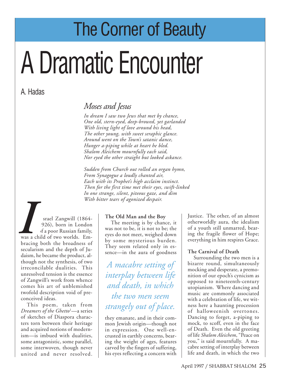## The Corner of Beauty

# A Dramatic Encounter

### A. Hadas

### *Moses and Jesus*

*In dream I saw two Jews that met by chance, One old, stern-eyed, deep-browed, yet garlanded With living light of love around his head, The other young, with sweet seraphic glance. Around went on the Town's satanic dance, Hunger a-piping while at heart he bled. Shalom Aleichem mournfully each said, Nor eyed the other straight but looked askance.*

*Sudden from Church out rolled an organ hymn, From Synagogue a loudly chanted air, Each with its Prophet's high acclaim instinct. Then for the first time met their eyes, swift-linked In one strange, silent, piteous gaze, and dim With bitter tears of agonized despair.*

srael Zangwill (1864- 1926), born in London of a poor Russian family, was a child of two worlds. Embracing both the broadness of secularism and the depth of Judaism, he became the product, although not the synthesis, of two irreconcilable dualities. This unresolved tension is the essence of Zangwill's work from whence comes his art of unblemished twofold description void of preconceived ideas. **I**<br>
was a c<br>
bracin

This poem, taken from *Dreamers of the Ghetto*<sup>1</sup> —a series of sketches of Diaspora characters torn between their heritage and acquired notions of modernism—is imbued with dualities, some antagonistic, some parallel, some interwoven, though never united and never resolved.

#### **The Old Man and the Boy**

The meeting is by chance, it was not to be, it is not to be; the eyes do not meet, weighed down by some mysterious burden. They seem related only in essence—in the aura of goodness

*A macabre setting of interplay between life and death, in which the two men seem strangely out of place.*

they emanate, and in their common Jewish origin—though not in expression. One well-encrusted in earthly concerns, bearing the weight of ages, features carved by the fingers of suffering, his eyes reflecting a concern with Justice. The other, of an almost otherworldly aura, the idealism of a youth still unmarred, bearing the fragile flower of Hope; everything in him respires Grace.

#### **The Carnival of Death**

Surrounding the two men is a bizarre round, simultaneously mocking and desperate, a premonition of our epoch's cynicism as opposed to nineteenth-century utopianism. Where dancing and music are commonly associated with a celebration of life, we witness here a haunting procession of halloweenish overtones. Dancing to forget, a-piping to mock, to scoff, even in the face of Death. Even the old greeting of life *Shalom Aleichem*, "Peace on you," is said mournfully. A macabre setting of interplay between life and death, in which the two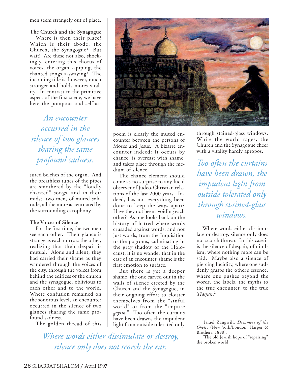men seem strangely out of place.

**The Church and the Synagogue** Where is then their place? Which is their abode, the Church, the Synagogue? But wait! Are these not also, shockingly, entering this chorus of voices, the organ a-piping, the chanted songs a-swaying? The incoming tide is, however, much stronger and holds mores vitality. In contrast to the primitive aspect of the first scene, we have here the pompous and self-as-

*An encounter occurred in the silence of two glances sharing the same profound sadness.*

sured belches of the organ. And the breathless tunes of the pipes are smothered by the "loudly chanted" songs, and in their midst, two men, of muted solitude, all the more accentuated by the surrounding cacophony.

#### **The Voices of Silence**

For the first time, the two men see each other. Their glance is strange as each mirrors the other, realizing that their despair is mutual. Alone and silent, they had carried their shame as they wandered through the voices of the city, through the voices from behind the edifices of the church and the synagogue, oblivious to each other and to the world. Where confusion remained on the sonorous level, an encounter occurred in the silence of two glances sharing the same profound sadness.

The golden thread of this



poem is clearly the muted encounter between the persons of Moses and Jesus. A bizarre encounter indeed: It occurs by chance, is overcast with shame, and takes place through the medium of silence.

The chance element should come as no surprise to any lucid observer of Judeo-Christian relations of the last 2000 years. Indeed, has not everything been done to keep the ways apart? Have they not been avoiding each other? As one looks back on the history of hatred where words crusaded against words, and not just words, from the Inquisition to the pogroms, culminating in the gray shadow of the Holocaust, it is no wonder that in the case of an encounter, shame is the first emotion to surface.

But there is yet a deeper shame, the one carved out in the walls of silence erected by the Church and the Synagogue, in their ongoing effort to cloister themselves from the "sinful world" or from the "impure *goyim*." Too often the curtains have been drawn, the impudent light from outside tolerated only

*Where words either dissimulate or destroy, silence only does not scorch the ear.*

through stained-glass windows. While the world rages, the Church and the Synagogue cheer with a vitality hardly apropos.

*Too often the curtains have been drawn, the impudent light from outside tolerated only through stained-glass windows.*

Where words either dissimulate or destroy, silence only does not scorch the ear. In this case it is the silence of despair, of nihilism, where nothing more can be said. Maybe also a silence of piercing lucidity, where one suddenly grasps the other's essence, where one pushes beyond the words, the labels, the myths to the true encounter, to the true *Tiqqun*. 2

<sup>1</sup> Israel Zangwill, *Dreamers of the Ghetto* (New York/London: Harper & Brothers, 1898).

<sup>2</sup> The old Jewish hope of "repairing" the broken world.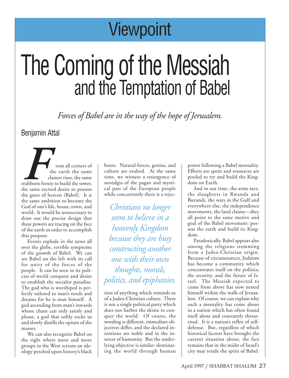## **Viewpoint**

## The Coming of the Messiah and the Temptation of Babel

*Forces of Babel are in the way of the hope of Jerusalem.*

### Benjamin Attal

FREE TO THE SAME THE SAME OF THE SAME STATE STATES STATES STATES STATES STATES STATES STATES STATES STATES STATES STATES STATES STATES STATES STATES STATES STATES STATES STATES STATES STATES STATES STATES STATES STATES STA rom all corners of the earth the same clamor rises, the same stubborn frenzy to build the tower, the gates of heaven (Babel). It is the same ambition to become the God of one's life, house, town, and world. It would be unnecessary to draw out the precise design that these powers are tracing on the face of the earth in order to accomplish this purpose.

Events explode in the news all over the globe, terrible symptoms of the growth of Babel. We can see Babel on the left with its call for unity of the forces of the people. It can be seen in its policies of world conquest and desire to establish the socialist paradise. The god who is worshiped is perfectly tailored to man's needs and dreams for he is man himself. A god ascending from man's inwards whose chant can only satisfy and please, a god that softly rocks us and slowly distills the opium of the masses.

We can also recognize Babel on the right where more and more groups in the West scream an ideology perched upon history's black boots. Natural forces, genius, and culture are exalted. At the same time, we witness a resurgence of nostalgia of the pagan and mystical past of the European people while concurrently there is a rejec-

*Christians no longer seem to believe in a heavenly Kingdom because they are busy constructing another one with their own thoughts, morals, politics, and epiphanies.*

tion of anything which reminds us of a Judeo-Christian culture. There is not a single political party which does not harbor the desire to conquer the world. Of course, the wording is different, immediate objectives differ, and the declared intentions are noble and in the interest of humanity. But the underlying objective is similar: dominating the world through human power following a Babel mentality. Efforts are spent and resources are pooled to try and build the Kingdom on Earth.

And in our time, the arms race, the slaughters in Rwanda and Burundi, the wars in the Gulf and everywhere else, the independence movements, the land claims—they all point to the same motive and goal of the Babel movement: possess the earth and build its Kingdom.

Paradoxically, Babel appears also among the religions stemming from a Judeo-Christian origin. Because of circumstances, Judaism has become a community which concentrates itself on the politics, the security, and the future of Israel. The Messiah expected to come from above has now nested himself within the walls of Jerusalem. Of course, we can explain why such a mentality has come about in a nation which has often found itself alone and constantly threatened. It is a nation's reflex of selfdefense. But, regardless of which historical factors have brought the current situation about, the fact remains that in the midst of Israel's city may reside the spirit of Babel.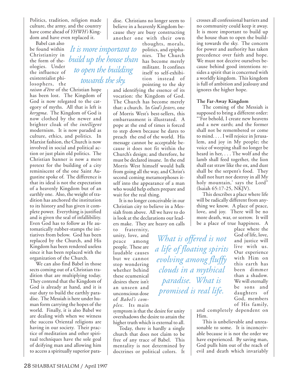Politics, tradition, religion made culture, the army, and the country have come ahead of *YHWH's* Kingdom and have even replaced it.

Babel can also be found within Christianity in the form of theologies. Under the influence of existentialist philosophers, the

*raison d'être* of the Christian hope has been lost. The Kingdom of God is now relegated to the category of myths. All that is left is *kerygma*. The Kingdom of God is now clothed by the newer and brighter cloak of the *intelligent* modernism. It is now paraded as culture, ethics, and politics. In Marxist fashion, the Church is now involved in social and political action or just plain old politics. The Christian banner is now a mere pretext for the building of a city reminiscent of the one Saint Augustine spoke of. The difference is that its ideal is not the expectation of a heavenly Kingdom but of an earthly one. Also, the weight of tradition has anchored the institution to its history and has given it complete power. Everything is justified and is given the seal of infallibility. Even God has to follow as He automatically rubber-stamps the initiatives from below. God has been replaced by the Church, and His Kingdom has been rendered useless since it has been replaced with the organization of the Church.

We can also find Babel in those sects coming out of a Christian tradition that are multiplying today. They contend that the Kingdom of God is already at hand, and it is our duty to build the earthly paradise. The Messiah is here under human form carrying the hopes of the world. Finally, it is also Babel we are dealing with when we witness the success Oriental religions are having in our society. Their practice of meditation and other spiritual techniques have the sole goal of deifying man and allowing him to access a spiritually superior paradise. Christians no longer seem to believe in a heavenly Kingdom because they are busy constructing another one with their own

*It is more important to build up the house than to open the building towards the sky.*

thoughts, morals, politics, and epiphanies. The Church has become merely militant. It confines itself to self-exhibition instead of pointing to the sky

and identifying the essence of its vocation: the Kingdom of God. The Church has become merely that: a church. In *God's Jesters,* one of Morris West's best-sellers, this embarrassment is illustrated. A pope at the end of times is forced to step down because he dares to preach the end of the world. His message cannot be acceptable because it does not fit within the Church's design; and therefore, he must be declared insane. In the end Morris West himself would balk from going all the way, and Christ's second coming metamorphoses itself into the appearance of a man who would help others prepare and wait for the real thing.

It is no longer conceivable in our Christian city to believe in a Messiah from above. All we have to do is look at the declarations our leaders make. They are heavy on calls

to fraternity, unity, love, and peace among people. These are laudable causes but we cannot stop wondering whether behind these ecumenical desires there isn't an unseen and unconscious dose of *Babel's complex*. Its main

symptom is that the desire for unity overshadows the desire to attain the higher truth which is external to all.

Today, there is hardly a single church that does not claim to be free of any trace of Babel. This mentality is not determined by doctrines or political colors. It

crosses all confessional barriers and no community could keep it away. It is more important to build up the house than to open the building towards the sky. The concern for power and authority has taken precedence over faith and hope. We must not deceive ourselves because behind good intentions resides a spirit that is concerned with a worldly kingdom. This kingdom is full of ambition and jealousy and ignores the higher hope.

#### **The Far-Away Kingdom**

The coming of the Messiah is supposed to bring a different order: "'For behold, I create new heavens and a new earth; and the former shall not be remembered or come to mind. . . . I will rejoice in Jerusalem, and joy in My people; the voice of weeping shall no longer be heard in her, . . . The wolf and the lamb shall feed together, the lion shall eat straw like the ox, and dust shall be the serpent's food. They shall not hurt nor destroy in all My holy mountain,' says the Lord" (Isaiah 65:17-25, NKJV).

This describes a place where life will be radically different from anything we know. A place of peace, love, and joy. There will be no more death, war, or sorrow. It will be a place of true happiness. A

> place where the God of life, love, and justice will live with us. Our experience with Him on this earth has been dimmer than a shadow. We will eternally be sons and daughters of God, members of His family,

and completely dependent on Him.

This is unbelievable and unreasonable to some. It is inconceivable because it is not the order we have experienced. By saving man, God pulls him out of the reach of evil and death which invariably

*paradise. What is promised is real life.*

*What is offered is not*

*a life of floating spirits*

*evolving among fluffy*

*clouds in a mythical*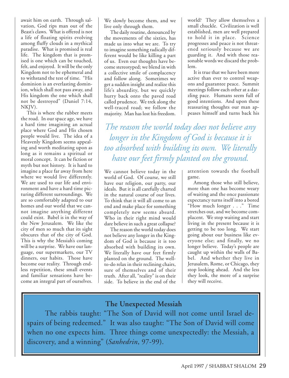await him on earth. Through salvation, God rips man out of the Beast's claws. What is offered is not a life of floating spirits evolving among fluffy clouds in a mythical paradise. What is promised is real life. The kingdom that is promised is one which can be touched, felt, and enjoyed. It will be the only Kingdom not to be ephemeral and to withstand the test of time. "His dominion is an everlasting dominion, which shall not pass away, and His kingdom the one which shall not be destroyed" (Daniel 7:14, NKJV).

This is where the rubber meets the road. In our space age, we have a hard time imagining an actual place where God and His chosen people would live. The idea of a Heavenly Kingdom seems appealing and worth meditating upon as long as it remains a spiritual or moral concept. It can be fiction or myth but not history. It is hard to imagine a place far away from here where we would live differently. We are used to our life and environment and have a hard time picturing different surroundings. We are so comfortably adapted to our homes and our world that we cannot imagine anything different could exist. Babel is in the way of the New Jerusalem. We like the city of men so much that its sight obscures that of the city of God. This is why the Messiah's coming will be a surprise. We have our language, our supermarkets, our TV dinners, our habits. Those have become our reality. Through endless repetition, these small events and familiar sensations have become an integral part of ourselves.

We slowly become them, and we live only through them.

The daily routine, denounced by the movements of the sixties, has made us into what we are. To try to imagine something radically different would be like killing a part of us. Even our thoughts have become stereotyped; we blend in with a collective smile of complacency and follow along. Sometimes we get a sudden insight and realize this life's absurdity, but we quickly hurry back onto the paved road called prudence. We trek along the well-traced road; we follow the majority. Man has lost his freedom.

world? They allow themselves a small chuckle. Civilization is well established, men are well prepared to hold it in place. Science progresses and peace is not threatened seriously because we are guarding it. And with those reasonable words we discard the problem.

It is true that we have been more active than ever to control weapons and guarantee peace. Summit meetings follow each other at a dazzling pace. Humans seem full of good intentions. And upon these reassuring thoughts our man appeases himself and turns back his

*The reason the world today does not believe any longer in the Kingdom of God is because it is too absorbed with building its own. We literally have our feet firmly planted on the ground.*

We cannot believe today in the world of God. Of course, we still have our religion, our party, our ideals. But it is all carefully charted in the natural course of our lives. To think that it will all come to an end and make place for something completely new seems absurd. Who in their right mind would dare believe in such a great collapse?

The reason the world today does not believe any longer in the Kingdom of God is because it is too absorbed with building its own. We literally have our feet firmly planted on the ground. The wellto-do relax in their reclining chairs, sure of themselves and of their truth. After all, "reality" is on their side. To believe in the end of the

attention towards the football game.

Among those who still believe, more than one has become weary of waiting and the once passionate expectancy turns itself into a bored "How much longer . . ." Time stretches out, and we become complacent. We stop waiting and start living in the present because it is getting to be too long. We start going about our business like everyone else; and finally, we no longer believe. Today's people are caught up within the walls of Babel. And whether they live in Jerusalem, Rome, or Chicago, they stop looking ahead. And the less they look, the more of a surprise they will receive.

### **The Unexpected Messiah**

The rabbis taught: "The Son of David will not come until Israel despairs of being redeemed." It was also taught: "The Son of David will come when no one expects him. Three things come unexpectedly: the Messiah, a discovery, and a winning" (*Sanhedrin*, 97-99).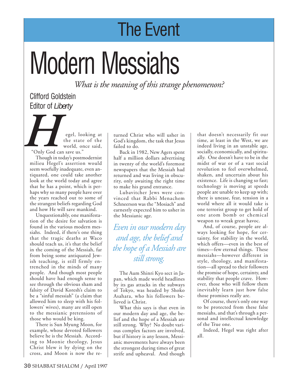## The Event

# Modern Messiahs

*What is the meaning of this strange phenomenon?*

### Clifford Goldstein Editor of *Liberty*

egel, looking at the state of the world, once said, "Only God can save us." **Here**  $\overline{\text{Chly God}}$ 

Though in today's postmodernist milieu Hegel's assertion would seem woefully inadequate, even antiquated, one could take another look at the world today and agree that he has a point, which is perhaps why so many people have over the years reached out to some of the strangest beliefs regarding God and how He will save mankind.

Unquestionably, one manifestation of the desire for salvation is found in the various modern messiahs. Indeed, if there's one thing that the tragic deaths at Waco should teach us, it's that the belief in the coming of the Messiah, far from being some antiquated Jewish teaching, is still firmly entrenched in the minds of many people. And though most people should have had enough sense to see through the obvious sham and falsity of David Koresh's claim to be a "sinful messiah" (a claim that allowed him to sleep with his followers' wives), many are still open to the messianic pretensions of those who would be king.

There is Sun Myung Moon, for example, whose devoted followers believe he is the Messiah. According to Moonie theology, Jesus Christ blew it by dying on the cross, and Moon is now the returned Christ who will usher in God's kingdom, the task that Jesus failed to do.

Back in 1982, New Agers spent half a million dollars advertising in twenty of the world's foremost newspapers that the Messiah had returned and was living in obscurity, only awaiting the right time to make his grand entrance.

Lubavitcher Jews were convinced that Rabbi Menachem Schneerson was the "Mosiach" and earnestly expected him to usher in the Messianic age.

*Even in our modern day and age, the belief and the hope of a Messiah are still strong.*

The Aum Shinri Kyo sect in Japan, which made world headlines by its gas attacks in the subways of Tokyo, was headed by Shoko Asahara, who his followers believed is Christ.

What this says is that even in our modern day and age, the belief and the hope of a Messiah are still strong. Why? No doubt various complex factors are involved, but if history is any lesson, Messianic movements have always been the strongest during times of great strife and upheaval. And though

that doesn't necessarily fit our time, at least in the West, we are indeed living in an unstable age, socially, economically, and spiritually. One doesn't have to be in the midst of war or of a vast social revolution to feel overwhelmed, shaken, and uncertain about his existence. Life is changing so fast; technology is moving at speeds people are unable to keep up with; there is unease, fear, tension in a world where all it would take is one terrorist group to get hold of one atom bomb or chemical weapon to wreak great havoc.

And, of course, people are always looking for hope, for certainty, for stability in the world, which offers—even in the best of times—few eternal things. These messiahs—however different in style, theology, and manifestation—all spread to their followers the promise of hope, certainty, and stability that people crave. However, those who will follow them inevitably learn just how false those promises really are.

Of course, there's only one way to be protected from these false messiahs, and that's through a personal and intellectual knowledge of the True one.

Indeed, Hegel was right after all.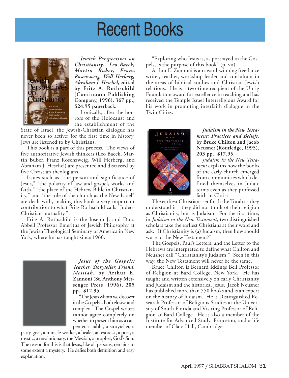## Recent Books



*Jewish Perspectives on Christianity: Leo Baeck, Martin Buber, Franz Rosenzweig, Will Herberg, Abraham J. Heschel***, edited by Fritz A. Rothschild (Continuum Publishing Company, 1996), 367 pp., \$24.95 paperback.**

Ironically, after the horrors of the Holocaust and the establishment of the

State of Israel, the Jewish-Christian dialogue has never been so active; for the first time in history, Jews are listened to by Christians.

This book is a part of this process. The views of five authoritative Jewish thinkers (Leo Baeck, Martin Buber, Franz Rosenzweig, Will Herberg, and Abraham J. Heschel) are presented and discussed by five Christian theologians.

Issues such as "the person and significance of Jesus," "the polarity of law and gospel, works and faith," "the place of the Hebrew Bible in Christianity," and "the role of the church as the New Israel" are dealt with, making this book a very important contribution to what Fritz Rothschild calls "Judeo-Christian mutuality."

Fritz A. Rothschild is the Joseph J. and Dora Abbell Professor Emeritus of Jewish Philosophy at the Jewish Theological Seminary of America in New York, where he has taught since 1960.



*Jesus of the Gospels: Teacher, Storyteller, Friend, Messiah***, by Arthur E. Zannoni (St. Anthony Messenger Press, 1996), 205 pp., \$12.95.**

"The Jesus whom we discover in the Gospels is both elusive and complex. The Gospel writers cannot agree completely on whether to present him as a carpenter, a rabbi, a storyteller, a

party-goer, a miracle-worker, a healer, an exorcist, a poet, a mystic, a revolutionary, the Messiah, a prophet, God's Son. The reason for this is that Jesus, like all persons, remains to some extent a mystery. He defies both definition and easy explanation.

"Exploring who Jesus is, as portrayed in the Gospels, is the purpose of this book" (p. vii).

Arthur E. Zannoni is an award-winning free-lance writer, teacher, workshop leader and consultant in the areas of biblical studies and Christian-Jewish relations. He is a two-time recipient of the Uhrig Foundation award for excellence in teaching and has received the Temple Israel Interreligious Award for his work in promoting interfaith dialogue in the Twin Cities.



*Judaism in the New Testament: Practices and Beliefs***, by Bruce Chilton and Jacob Neusner (Routledge, 1995), 203 pp., \$17.95.**

*Judaism in the New Testament* explains how the books of the early church emerged from communities which defined themselves in Judaic terms even as they professed faith in Christ.

The earliest Christians set forth the Torah as they understood it—they did not think of their religion as Christianity, but as Judaism. For the first time, in *Judaism in the New Testament*, two distinguished scholars take the earliest Christians at their word and ask: "If Christianity is (a) Judaism, then how should we read the New Testament?"

The Gospels, Paul's Letters, and the Letter to the Hebrews are interpreted to define what Chilton and Neusner call "Christianity's Judaism." Seen in this way, the New Testament will never be the same.

Bruce Chilton is Bernard Iddings Bell Professor of Religion at Bard College, New York. He has taught and written extensively on early Christianity and Judaism and the historical Jesus. Jacob Neusner has published more than 550 books and is an expert on the history of Judaism. He is Distinguished Research Professor of Religious Studies at the University of South Florida and Visiting Professor of Religion at Bard College. He is also a member of the Institute for Advanced Study, Princeton, and a life member of Clare Hall, Cambridge.